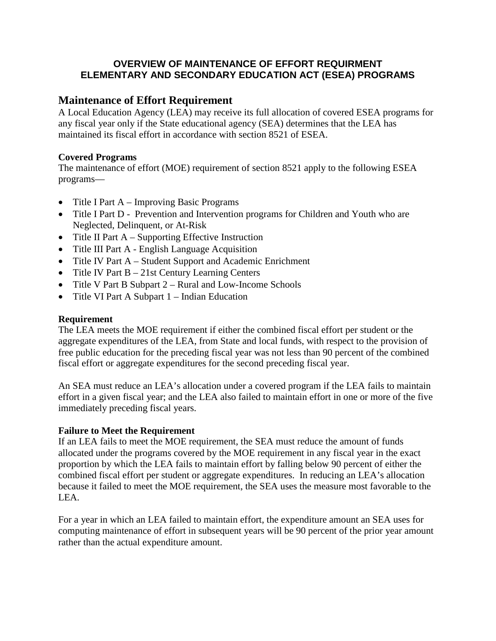## **OVERVIEW OF MAINTENANCE OF EFFORT REQUIRMENT ELEMENTARY AND SECONDARY EDUCATION ACT (ESEA) PROGRAMS**

# **Maintenance of Effort Requirement**

A Local Education Agency (LEA) may receive its full allocation of covered ESEA programs for any fiscal year only if the State educational agency (SEA) determines that the LEA has maintained its fiscal effort in accordance with section 8521 of ESEA.

## **Covered Programs**

The maintenance of effort (MOE) requirement of section 8521 apply to the following ESEA programs—

- Title I Part A Improving Basic Programs
- Title I Part D Prevention and Intervention programs for Children and Youth who are Neglected, Delinquent, or At-Risk
- Title II Part  $A -$  Supporting Effective Instruction
- Title III Part A English Language Acquisition
- Title IV Part A Student Support and Academic Enrichment
- Title IV Part B 21st Century Learning Centers
- Title V Part B Subpart 2 Rural and Low-Income Schools
- Title VI Part A Subpart 1 Indian Education

### **Requirement**

The LEA meets the MOE requirement if either the combined fiscal effort per student or the aggregate expenditures of the LEA, from State and local funds, with respect to the provision of free public education for the preceding fiscal year was not less than 90 percent of the combined fiscal effort or aggregate expenditures for the second preceding fiscal year.

An SEA must reduce an LEA's allocation under a covered program if the LEA fails to maintain effort in a given fiscal year; and the LEA also failed to maintain effort in one or more of the five immediately preceding fiscal years.

### **Failure to Meet the Requirement**

If an LEA fails to meet the MOE requirement, the SEA must reduce the amount of funds allocated under the programs covered by the MOE requirement in any fiscal year in the exact proportion by which the LEA fails to maintain effort by falling below 90 percent of either the combined fiscal effort per student or aggregate expenditures. In reducing an LEA's allocation because it failed to meet the MOE requirement, the SEA uses the measure most favorable to the LEA.

For a year in which an LEA failed to maintain effort, the expenditure amount an SEA uses for computing maintenance of effort in subsequent years will be 90 percent of the prior year amount rather than the actual expenditure amount.